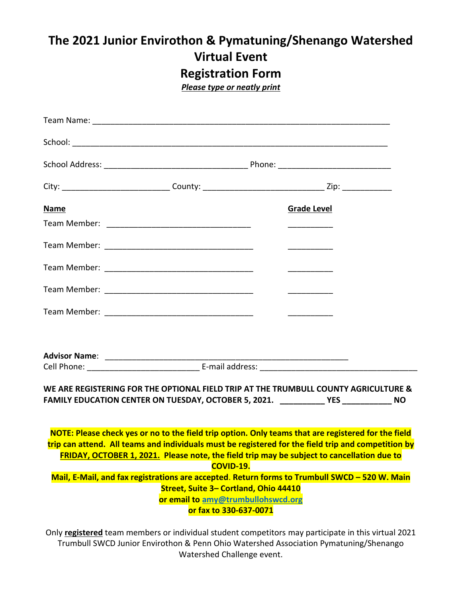## **The 2021 Junior Envirothon & Pymatuning/Shenango Watershed Virtual Event Registration Form**

*Please type or neatly print*

| <b>Name</b> |                                                                                                       | <b>Grade Level</b>                                                                                                                                                                                                                                                                                                                                                                                                        |  |
|-------------|-------------------------------------------------------------------------------------------------------|---------------------------------------------------------------------------------------------------------------------------------------------------------------------------------------------------------------------------------------------------------------------------------------------------------------------------------------------------------------------------------------------------------------------------|--|
|             |                                                                                                       | _____________________                                                                                                                                                                                                                                                                                                                                                                                                     |  |
|             |                                                                                                       | $\begin{tabular}{ccccccccc} \multicolumn{2}{c }{\textbf{1} & \textbf{2} & \textbf{3} & \textbf{4} & \textbf{5} & \textbf{5} & \textbf{6} & \textbf{6} & \textbf{7} & \textbf{8} & \textbf{8} & \textbf{9} & \textbf{10} & \textbf{10} & \textbf{10} & \textbf{10} & \textbf{10} & \textbf{10} & \textbf{10} & \textbf{10} & \textbf{10} & \textbf{10} & \textbf{10} & \textbf{10} & \textbf{10} & \textbf{10} & \textbf{$ |  |
|             |                                                                                                       |                                                                                                                                                                                                                                                                                                                                                                                                                           |  |
|             |                                                                                                       |                                                                                                                                                                                                                                                                                                                                                                                                                           |  |
|             |                                                                                                       |                                                                                                                                                                                                                                                                                                                                                                                                                           |  |
|             |                                                                                                       |                                                                                                                                                                                                                                                                                                                                                                                                                           |  |
|             |                                                                                                       |                                                                                                                                                                                                                                                                                                                                                                                                                           |  |
|             |                                                                                                       | WE ARE REGISTERING FOR THE OPTIONAL FIELD TRIP AT THE TRUMBULL COUNTY AGRICULTURE &<br>FAMILY EDUCATION CENTER ON TUESDAY, OCTOBER 5, 2021. ___________________________________ NO                                                                                                                                                                                                                                        |  |
|             | <b>COVID-19.</b>                                                                                      | NOTE: Please check yes or no to the field trip option. Only teams that are registered for the field<br>trip can attend. All teams and individuals must be registered for the field trip and competition by<br>FRIDAY, OCTOBER 1, 2021. Please note, the field trip may be subject to cancellation due to                                                                                                                  |  |
|             |                                                                                                       | Mail, E-Mail, and fax registrations are accepted. Return forms to Trumbull SWCD - 520 W. Main                                                                                                                                                                                                                                                                                                                             |  |
|             | Street, Suite 3- Cortland, Ohio 44410<br>or email to amy@trumbullohswcd.org<br>or fax to 330-637-0071 |                                                                                                                                                                                                                                                                                                                                                                                                                           |  |

Only **registered** team members or individual student competitors may participate in this virtual 2021 Trumbull SWCD Junior Envirothon & Penn Ohio Watershed Association Pymatuning/Shenango Watershed Challenge event.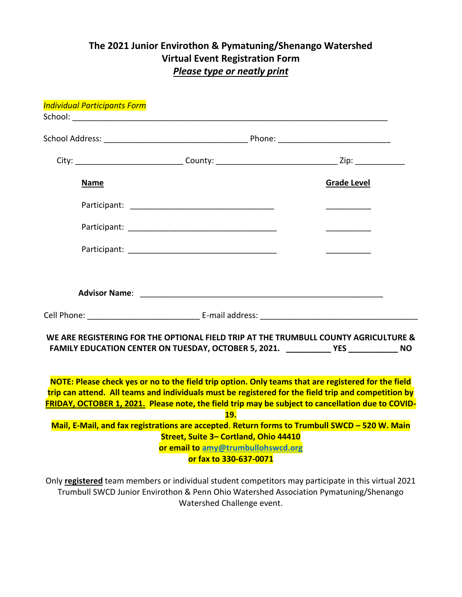## **The 2021 Junior Envirothon & Pymatuning/Shenango Watershed Virtual Event Registration Form** *Please type or neatly print*

|  | <b>Individual Participants Form</b> |                                                              |                                                                                                                                                                                                                                                                                                                 |
|--|-------------------------------------|--------------------------------------------------------------|-----------------------------------------------------------------------------------------------------------------------------------------------------------------------------------------------------------------------------------------------------------------------------------------------------------------|
|  |                                     |                                                              |                                                                                                                                                                                                                                                                                                                 |
|  |                                     |                                                              |                                                                                                                                                                                                                                                                                                                 |
|  |                                     |                                                              |                                                                                                                                                                                                                                                                                                                 |
|  | <b>Name</b>                         |                                                              | <b>Grade Level</b>                                                                                                                                                                                                                                                                                              |
|  |                                     |                                                              |                                                                                                                                                                                                                                                                                                                 |
|  |                                     |                                                              |                                                                                                                                                                                                                                                                                                                 |
|  |                                     |                                                              |                                                                                                                                                                                                                                                                                                                 |
|  |                                     |                                                              |                                                                                                                                                                                                                                                                                                                 |
|  |                                     |                                                              |                                                                                                                                                                                                                                                                                                                 |
|  |                                     |                                                              | WE ARE REGISTERING FOR THE OPTIONAL FIELD TRIP AT THE TRUMBULL COUNTY AGRICULTURE &<br>FAMILY EDUCATION CENTER ON TUESDAY, OCTOBER 5, 2021. ____________YES ____________ NO                                                                                                                                     |
|  |                                     | <b>19.</b>                                                   | NOTE: Please check yes or no to the field trip option. Only teams that are registered for the field<br>trip can attend. All teams and individuals must be registered for the field trip and competition by<br>FRIDAY, OCTOBER 1, 2021. Please note, the field trip may be subject to cancellation due to COVID- |
|  |                                     |                                                              | Mail, E-Mail, and fax registrations are accepted. Return forms to Trumbull SWCD - 520 W. Main                                                                                                                                                                                                                   |
|  |                                     | Street, Suite 3- Cortland, Ohio 44410                        |                                                                                                                                                                                                                                                                                                                 |
|  |                                     | or email to amy@trumbullohswcd.org<br>or fax to 330-637-0071 |                                                                                                                                                                                                                                                                                                                 |
|  |                                     |                                                              |                                                                                                                                                                                                                                                                                                                 |
|  |                                     |                                                              | Only registered team members or individual student competitors may participate in this virtual 2021                                                                                                                                                                                                             |

Trumbull SWCD Junior Envirothon & Penn Ohio Watershed Association Pymatuning/Shenango Watershed Challenge event.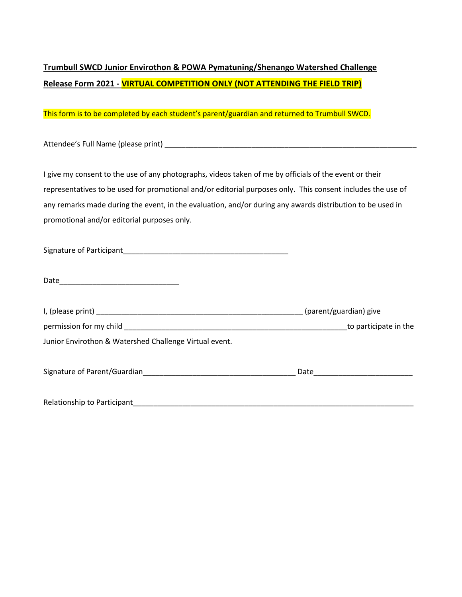## **Trumbull SWCD Junior Envirothon & POWA Pymatuning/Shenango Watershed Challenge Release Form 2021 - VIRTUAL COMPETITION ONLY (NOT ATTENDING THE FIELD TRIP)**

This form is to be completed by each student's parent/guardian and returned to Trumbull SWCD.

Attendee's Full Name (please print) \_\_\_\_\_\_\_\_\_\_\_\_\_\_\_\_\_\_\_\_\_\_\_\_\_\_\_\_\_\_\_\_\_\_\_\_\_\_\_\_\_\_\_\_\_\_\_\_\_\_\_\_\_\_\_\_\_\_\_\_\_

I give my consent to the use of any photographs, videos taken of me by officials of the event or their representatives to be used for promotional and/or editorial purposes only. This consent includes the use of any remarks made during the event, in the evaluation, and/or during any awards distribution to be used in promotional and/or editorial purposes only.

| Signature of Participant |  |
|--------------------------|--|
|                          |  |

| Date |  |  |  |
|------|--|--|--|
|      |  |  |  |

| I, (please print) Later and the contract of the contract of the contract of the contract of the contract of the contract of the contract of the contract of the contract of the contract of the contract of the contract of th | (parent/guardian) give |  |
|--------------------------------------------------------------------------------------------------------------------------------------------------------------------------------------------------------------------------------|------------------------|--|
| permission for my child permission for my child                                                                                                                                                                                | to participate in the  |  |
| Junior Envirothon & Watershed Challenge Virtual event.                                                                                                                                                                         |                        |  |
|                                                                                                                                                                                                                                |                        |  |
| Signature of Parent/Guardian Signature of Parent/Guardian                                                                                                                                                                      | Date                   |  |
|                                                                                                                                                                                                                                |                        |  |
| Relationship to Participant                                                                                                                                                                                                    |                        |  |